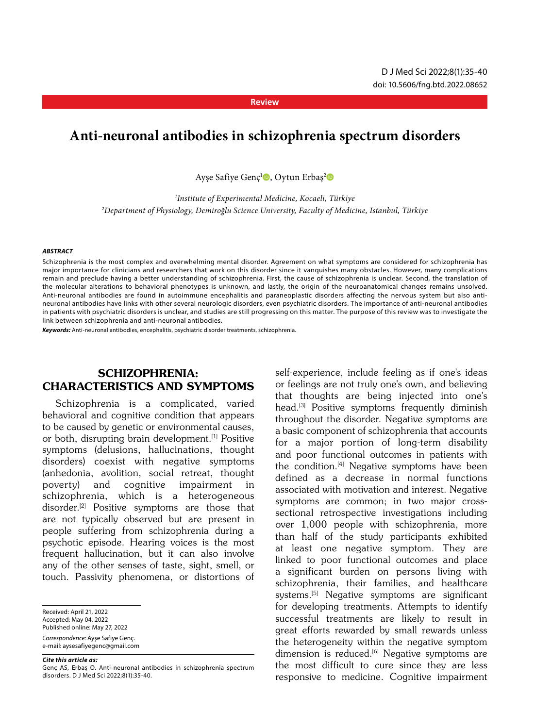**Review**

# **Anti-neuronal antibodies in schizophrenia spectrum disorders**

Ayşe Safiye Genç<sup>ı</sup>®, Oytun Erbaş<sup>2</sup>®

*1 Institute of Experimental Medicine, Kocaeli, Türkiye 2 Department of Physiology, Demiroğlu Science University, Faculty of Medicine, Istanbul, Türkiye*

#### *ABSTRACT*

Schizophrenia is the most complex and overwhelming mental disorder. Agreement on what symptoms are considered for schizophrenia has major importance for clinicians and researchers that work on this disorder since it vanquishes many obstacles. However, many complications remain and preclude having a better understanding of schizophrenia. First, the cause of schizophrenia is unclear. Second, the translation of the molecular alterations to behavioral phenotypes is unknown, and lastly, the origin of the neuroanatomical changes remains unsolved. Anti-neuronal antibodies are found in autoimmune encephalitis and paraneoplastic disorders affecting the nervous system but also antineuronal antibodies have links with other several neurologic disorders, even psychiatric disorders. The importance of anti-neuronal antibodies in patients with psychiatric disorders is unclear, and studies are still progressing on this matter. The purpose of this review was to investigate the link between schizophrenia and anti-neuronal antibodies.

*Keywords:* Anti-neuronal antibodies, encephalitis, psychiatric disorder treatments, schizophrenia.

#### SCHIZOPHRENIA: CHARACTERISTICS AND SYMPTOMS

Schizophrenia is a complicated, varied behavioral and cognitive condition that appears to be caused by genetic or environmental causes, or both, disrupting brain development.[1] Positive symptoms (delusions, hallucinations, thought disorders) coexist with negative symptoms (anhedonia, avolition, social retreat, thought poverty) and cognitive impairment in schizophrenia, which is a heterogeneous disorder.[2] Positive symptoms are those that are not typically observed but are present in people suffering from schizophrenia during a psychotic episode. Hearing voices is the most frequent hallucination, but it can also involve any of the other senses of taste, sight, smell, or touch. Passivity phenomena, or distortions of

Received: April 21, 2022 Accepted: May 04, 2022 Published online: May 27, 2022 *Correspondence:* Ayşe Safiye Genç. e-mail: aysesafiyegenc@gmail.com

*Cite this article as:*

self-experience, include feeling as if one's ideas or feelings are not truly one's own, and believing that thoughts are being injected into one's head.[3] Positive symptoms frequently diminish throughout the disorder. Negative symptoms are a basic component of schizophrenia that accounts for a major portion of long-term disability and poor functional outcomes in patients with the condition.<sup>[4]</sup> Negative symptoms have been defined as a decrease in normal functions associated with motivation and interest. Negative symptoms are common; in two major crosssectional retrospective investigations including over 1,000 people with schizophrenia, more than half of the study participants exhibited at least one negative symptom. They are linked to poor functional outcomes and place a significant burden on persons living with schizophrenia, their families, and healthcare systems.[5] Negative symptoms are significant for developing treatments. Attempts to identify successful treatments are likely to result in great efforts rewarded by small rewards unless the heterogeneity within the negative symptom dimension is reduced.<sup>[6]</sup> Negative symptoms are the most difficult to cure since they are less responsive to medicine. Cognitive impairment

Genç AS, Erbaş O. Anti-neuronal antibodies in schizophrenia spectrum disorders. D J Med Sci 2022;8(1):35-40.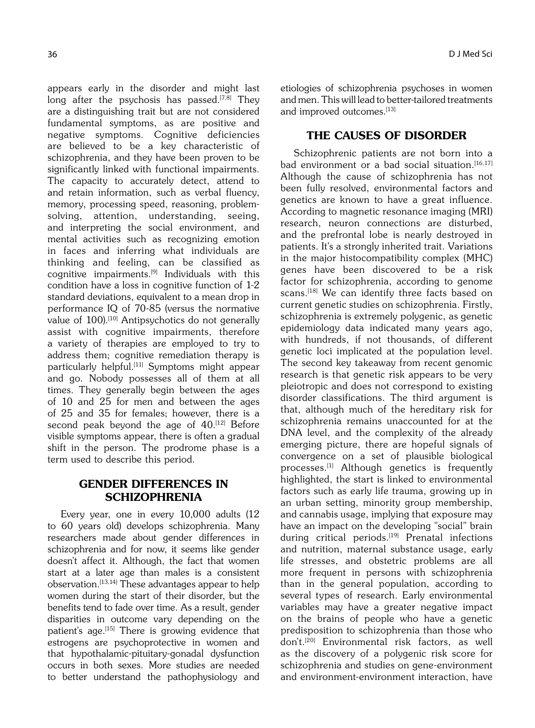appears early in the disorder and might last long after the psychosis has passed.<sup>[7,8]</sup> They are a distinguishing trait but are not considered fundamental symptoms, as are positive and negative symptoms. Cognitive deficiencies are believed to be a key characteristic of schizophrenia, and they have been proven to be significantly linked with functional impairments. The capacity to accurately detect, attend to and retain information, such as verbal fluency, memory, processing speed, reasoning, problemsolving, attention, understanding, seeing, and interpreting the social environment, and mental activities such as recognizing emotion in faces and inferring what individuals are thinking and feeling, can be classified as cognitive impairments.[9] Individuals with this condition have a loss in cognitive function of 1-2 standard deviations, equivalent to a mean drop in performance IQ of 70-85 (versus the normative value of 100).<sup>[10]</sup> Antipsychotics do not generally assist with cognitive impairments, therefore a variety of therapies are employed to try to address them; cognitive remediation therapy is particularly helpful.[11] Symptoms might appear and go. Nobody possesses all of them at all times. They generally begin between the ages of 10 and 25 for men and between the ages of 25 and 35 for females; however, there is a second peak beyond the age of  $40.^{[12]}$  Before visible symptoms appear, there is often a gradual shift in the person. The prodrome phase is a term used to describe this period.

### GENDER DIFFERENCES IN **SCHIZOPHRENIA**

Every year, one in every 10,000 adults (12 to 60 years old) develops schizophrenia. Many researchers made about gender differences in schizophrenia and for now, it seems like gender doesn't affect it. Although, the fact that women start at a later age than males is a consistent observation.[13,14] These advantages appear to help women during the start of their disorder, but the benefits tend to fade over time. As a result, gender disparities in outcome vary depending on the patient's age.<sup>[15]</sup> There is growing evidence that estrogens are psychoprotective in women and that hypothalamic-pituitary-gonadal dysfunction occurs in both sexes. More studies are needed to better understand the pathophysiology and etiologies of schizophrenia psychoses in women and men. This will lead to better-tailored treatments and improved outcomes.<sup>[13]</sup>

#### THE CAUSES OF DISORDER

Schizophrenic patients are not born into a bad environment or a bad social situation.<sup>[16,17]</sup> Although the cause of schizophrenia has not been fully resolved, environmental factors and genetics are known to have a great influence. According to magnetic resonance imaging (MRI) research, neuron connections are disturbed, and the prefrontal lobe is nearly destroyed in patients. It's a strongly inherited trait. Variations in the major histocompatibility complex (MHC) genes have been discovered to be a risk factor for schizophrenia, according to genome scans.<sup>[18]</sup> We can identify three facts based on current genetic studies on schizophrenia. Firstly, schizophrenia is extremely polygenic, as genetic epidemiology data indicated many years ago, with hundreds, if not thousands, of different genetic loci implicated at the population level. The second key takeaway from recent genomic research is that genetic risk appears to be very pleiotropic and does not correspond to existing disorder classifications. The third argument is that, although much of the hereditary risk for schizophrenia remains unaccounted for at the DNA level, and the complexity of the already emerging picture, there are hopeful signals of convergence on a set of plausible biological processes.[1] Although genetics is frequently highlighted, the start is linked to environmental factors such as early life trauma, growing up in an urban setting, minority group membership, and cannabis usage, implying that exposure may have an impact on the developing "social" brain during critical periods.<sup>[19]</sup> Prenatal infections and nutrition, maternal substance usage, early life stresses, and obstetric problems are all more frequent in persons with schizophrenia than in the general population, according to several types of research. Early environmental variables may have a greater negative impact on the brains of people who have a genetic predisposition to schizophrenia than those who don't.[20] Environmental risk factors, as well as the discovery of a polygenic risk score for schizophrenia and studies on gene-environment and environment-environment interaction, have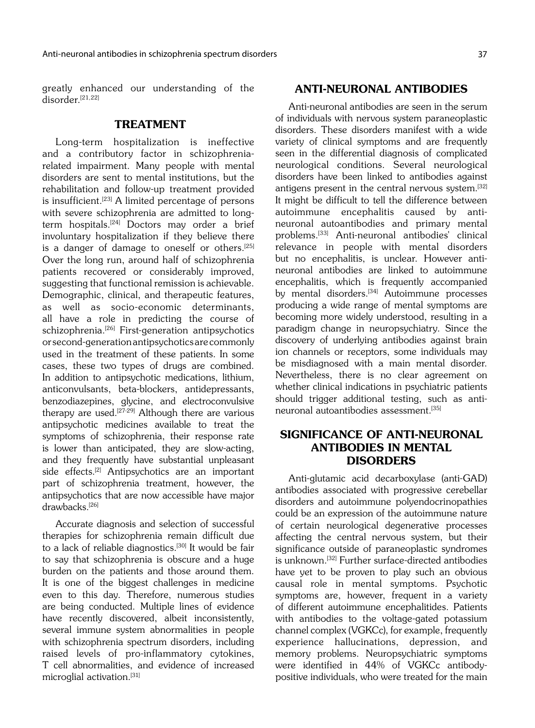greatly enhanced our understanding of the  $di$ sorder.<sup>[21,22]</sup>

#### TREATMENT

Long-term hospitalization is ineffective and a contributory factor in schizophreniarelated impairment. Many people with mental disorders are sent to mental institutions, but the rehabilitation and follow-up treatment provided is insufficient.[23] A limited percentage of persons with severe schizophrenia are admitted to longterm hospitals.<sup>[24]</sup> Doctors may order a brief involuntary hospitalization if they believe there is a danger of damage to oneself or others.<sup>[25]</sup> Over the long run, around half of schizophrenia patients recovered or considerably improved, suggesting that functional remission is achievable. Demographic, clinical, and therapeutic features, as well as socio-economic determinants, all have a role in predicting the course of schizophrenia.<sup>[26]</sup> First-generation antipsychotics or second-generation antipsychotics are commonly used in the treatment of these patients. In some cases, these two types of drugs are combined. In addition to antipsychotic medications, lithium, anticonvulsants, beta-blockers, antidepressants, benzodiazepines, glycine, and electroconvulsive therapy are used.<sup>[27-29]</sup> Although there are various antipsychotic medicines available to treat the symptoms of schizophrenia, their response rate is lower than anticipated, they are slow-acting, and they frequently have substantial unpleasant side effects.<sup>[2]</sup> Antipsychotics are an important part of schizophrenia treatment, however, the antipsychotics that are now accessible have major drawbacks.[26]

Accurate diagnosis and selection of successful therapies for schizophrenia remain difficult due to a lack of reliable diagnostics.<sup>[30]</sup> It would be fair to say that schizophrenia is obscure and a huge burden on the patients and those around them. It is one of the biggest challenges in medicine even to this day. Therefore, numerous studies are being conducted. Multiple lines of evidence have recently discovered, albeit inconsistently, several immune system abnormalities in people with schizophrenia spectrum disorders, including raised levels of pro-inflammatory cytokines, T cell abnormalities, and evidence of increased microglial activation.[31]

#### ANTI-NEURONAL ANTIBODIES

Anti-neuronal antibodies are seen in the serum of individuals with nervous system paraneoplastic disorders. These disorders manifest with a wide variety of clinical symptoms and are frequently seen in the differential diagnosis of complicated neurological conditions. Several neurological disorders have been linked to antibodies against antigens present in the central nervous system.<sup>[32]</sup> It might be difficult to tell the difference between autoimmune encephalitis caused by antineuronal autoantibodies and primary mental problems.[33] Anti-neuronal antibodies' clinical relevance in people with mental disorders but no encephalitis, is unclear. However antineuronal antibodies are linked to autoimmune encephalitis, which is frequently accompanied by mental disorders.<sup>[34]</sup> Autoimmune processes producing a wide range of mental symptoms are becoming more widely understood, resulting in a paradigm change in neuropsychiatry. Since the discovery of underlying antibodies against brain ion channels or receptors, some individuals may be misdiagnosed with a main mental disorder. Nevertheless, there is no clear agreement on whether clinical indications in psychiatric patients should trigger additional testing, such as antineuronal autoantibodies assessment.<sup>[35]</sup>

### SIGNIFICANCE OF ANTI-NEURONAL ANTIBODIES IN MENTAL **DISORDERS**

Anti-glutamic acid decarboxylase (anti-GAD) antibodies associated with progressive cerebellar disorders and autoimmune polyendocrinopathies could be an expression of the autoimmune nature of certain neurological degenerative processes affecting the central nervous system, but their significance outside of paraneoplastic syndromes is unknown.<sup>[32]</sup> Further surface-directed antibodies have yet to be proven to play such an obvious causal role in mental symptoms. Psychotic symptoms are, however, frequent in a variety of different autoimmune encephalitides. Patients with antibodies to the voltage-gated potassium channel complex (VGKCc), for example, frequently experience hallucinations, depression, and memory problems. Neuropsychiatric symptoms were identified in 44% of VGKCc antibodypositive individuals, who were treated for the main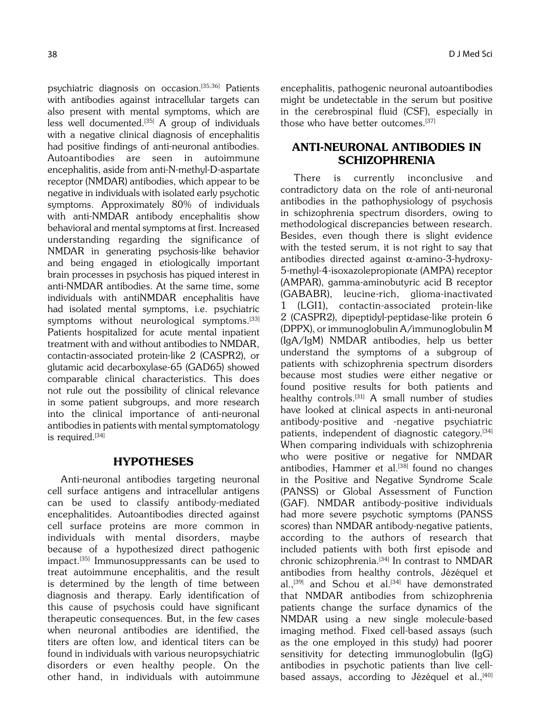psychiatric diagnosis on occasion.[35,36] Patients with antibodies against intracellular targets can also present with mental symptoms, which are less well documented.<sup>[35]</sup> A group of individuals with a negative clinical diagnosis of encephalitis had positive findings of anti-neuronal antibodies. Autoantibodies are seen in autoimmune encephalitis, aside from anti-N-methyl-D-aspartate receptor (NMDAR) antibodies, which appear to be negative in individuals with isolated early psychotic symptoms. Approximately 80% of individuals with anti-NMDAR antibody encephalitis show behavioral and mental symptoms at first. Increased understanding regarding the significance of NMDAR in generating psychosis-like behavior and being engaged in etiologically important brain processes in psychosis has piqued interest in anti-NMDAR antibodies. At the same time, some individuals with antiNMDAR encephalitis have had isolated mental symptoms, i.e. psychiatric symptoms without neurological symptoms.<sup>[33]</sup> Patients hospitalized for acute mental inpatient treatment with and without antibodies to NMDAR, contactin-associated protein-like 2 (CASPR2), or glutamic acid decarboxylase-65 (GAD65) showed comparable clinical characteristics. This does not rule out the possibility of clinical relevance in some patient subgroups, and more research into the clinical importance of anti-neuronal antibodies in patients with mental symptomatology is required.<sup>[34]</sup>

#### HYPOTHESES

Anti-neuronal antibodies targeting neuronal cell surface antigens and intracellular antigens can be used to classify antibody-mediated encephalitides. Autoantibodies directed against cell surface proteins are more common in individuals with mental disorders, maybe because of a hypothesized direct pathogenic impact.[35] Immunosuppressants can be used to treat autoimmune encephalitis, and the result is determined by the length of time between diagnosis and therapy. Early identification of this cause of psychosis could have significant therapeutic consequences. But, in the few cases when neuronal antibodies are identified, the titers are often low, and identical titers can be found in individuals with various neuropsychiatric disorders or even healthy people. On the other hand, in individuals with autoimmune encephalitis, pathogenic neuronal autoantibodies might be undetectable in the serum but positive in the cerebrospinal fluid (CSF), especially in those who have better outcomes.<sup>[37]</sup>

## ANTI-NEURONAL ANTIBODIES IN **SCHIZOPHRENIA**

There is currently inconclusive and contradictory data on the role of anti-neuronal antibodies in the pathophysiology of psychosis in schizophrenia spectrum disorders, owing to methodological discrepancies between research. Besides, even though there is slight evidence with the tested serum, it is not right to say that antibodies directed against  $\alpha$ -amino-3-hydroxy-5-methyl-4-isoxazolepropionate (AMPA) receptor (AMPAR), gamma-aminobutyric acid B receptor (GABABR), leucine-rich, glioma-inactivated 1 (LGI1), contactin-associated protein-like 2 (CASPR2), dipeptidyl-peptidase-like protein 6 (DPPX), or immunoglobulin A/immunoglobulin M (IgA/IgM) NMDAR antibodies, help us better understand the symptoms of a subgroup of patients with schizophrenia spectrum disorders because most studies were either negative or found positive results for both patients and healthy controls.<sup>[31]</sup> A small number of studies have looked at clinical aspects in anti-neuronal antibody-positive and -negative psychiatric patients, independent of diagnostic category.<sup>[34]</sup> When comparing individuals with schizophrenia who were positive or negative for NMDAR antibodies, Hammer et al.<sup>[38]</sup> found no changes in the Positive and Negative Syndrome Scale (PANSS) or Global Assessment of Function (GAF). NMDAR antibody-positive individuals had more severe psychotic symptoms (PANSS scores) than NMDAR antibody-negative patients, according to the authors of research that included patients with both first episode and chronic schizophrenia.<sup>[34]</sup> In contrast to NMDAR antibodies from healthy controls, Jézéquel et al., $^{[39]}$  and Schou et al. $^{[34]}$  have demonstrated that NMDAR antibodies from schizophrenia patients change the surface dynamics of the NMDAR using a new single molecule-based imaging method. Fixed cell-based assays (such as the one employed in this study) had poorer sensitivity for detecting immunoglobulin (IgG) antibodies in psychotic patients than live cellbased assays, according to Jézéquel et al.,<sup>[40]</sup>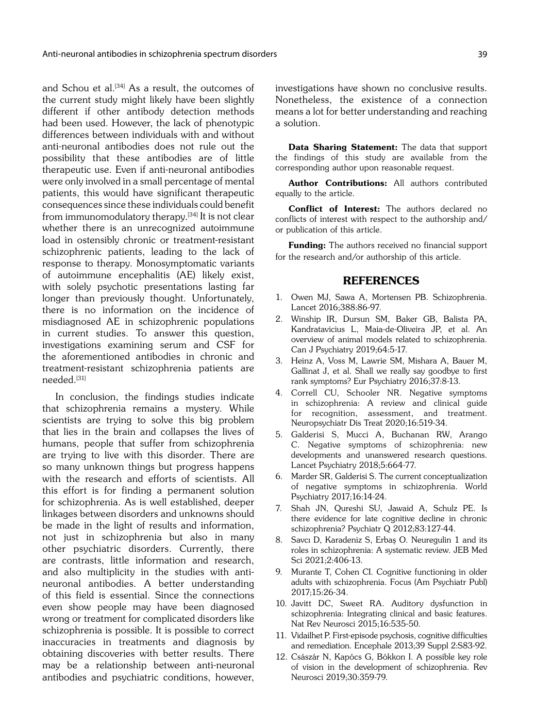and Schou et al.<sup>[34]</sup> As a result, the outcomes of the current study might likely have been slightly different if other antibody detection methods had been used. However, the lack of phenotypic differences between individuals with and without anti-neuronal antibodies does not rule out the possibility that these antibodies are of little therapeutic use. Even if anti-neuronal antibodies were only involved in a small percentage of mental patients, this would have significant therapeutic consequences since these individuals could benefit from immunomodulatory therapy.<sup>[34]</sup> It is not clear whether there is an unrecognized autoimmune load in ostensibly chronic or treatment-resistant schizophrenic patients, leading to the lack of response to therapy. Monosymptomatic variants of autoimmune encephalitis (AE) likely exist, with solely psychotic presentations lasting far longer than previously thought. Unfortunately, there is no information on the incidence of misdiagnosed AE in schizophrenic populations in current studies. To answer this question, investigations examining serum and CSF for the aforementioned antibodies in chronic and treatment-resistant schizophrenia patients are needed.[31]

In conclusion, the findings studies indicate that schizophrenia remains a mystery. While scientists are trying to solve this big problem that lies in the brain and collapses the lives of humans, people that suffer from schizophrenia are trying to live with this disorder. There are so many unknown things but progress happens with the research and efforts of scientists. All this effort is for finding a permanent solution for schizophrenia. As is well established, deeper linkages between disorders and unknowns should be made in the light of results and information, not just in schizophrenia but also in many other psychiatric disorders. Currently, there are contrasts, little information and research, and also multiplicity in the studies with antineuronal antibodies. A better understanding of this field is essential. Since the connections even show people may have been diagnosed wrong or treatment for complicated disorders like schizophrenia is possible. It is possible to correct inaccuracies in treatments and diagnosis by obtaining discoveries with better results. There may be a relationship between anti-neuronal antibodies and psychiatric conditions, however,

investigations have shown no conclusive results. Nonetheless, the existence of a connection means a lot for better understanding and reaching a solution.

Data Sharing Statement: The data that support the findings of this study are available from the corresponding author upon reasonable request.

Author Contributions: All authors contributed equally to the article.

Conflict of Interest: The authors declared no conflicts of interest with respect to the authorship and/ or publication of this article.

**Funding:** The authors received no financial support for the research and/or authorship of this article.

#### REFERENCES

- 1. Owen MJ, Sawa A, Mortensen PB. Schizophrenia. Lancet 2016;388:86-97.
- 2. Winship IR, Dursun SM, Baker GB, Balista PA, Kandratavicius L, Maia-de-Oliveira JP, et al. An overview of animal models related to schizophrenia. Can J Psychiatry 2019;64:5-17.
- 3. Heinz A, Voss M, Lawrie SM, Mishara A, Bauer M, Gallinat J, et al. Shall we really say goodbye to first rank symptoms? Eur Psychiatry 2016;37:8-13.
- 4. Correll CU, Schooler NR. Negative symptoms in schizophrenia: A review and clinical guide for recognition, assessment, and treatment. Neuropsychiatr Dis Treat 2020;16:519-34.
- 5. Galderisi S, Mucci A, Buchanan RW, Arango C. Negative symptoms of schizophrenia: new developments and unanswered research questions. Lancet Psychiatry 2018;5:664-77.
- 6. Marder SR, Galderisi S. The current conceptualization of negative symptoms in schizophrenia. World Psychiatry 2017;16:14-24.
- 7. Shah JN, Qureshi SU, Jawaid A, Schulz PE. Is there evidence for late cognitive decline in chronic schizophrenia? Psychiatr Q 2012;83:127-44.
- 8. Savcı D, Karadeniz S, Erbaş O. Neuregulin 1 and its roles in schizophrenia: A systematic review. JEB Med Sci 2021;2:406-13.
- 9. Murante T, Cohen CI. Cognitive functioning in older adults with schizophrenia. Focus (Am Psychiatr Publ) 2017;15:26-34.
- 10. Javitt DC, Sweet RA. Auditory dysfunction in schizophrenia: Integrating clinical and basic features. Nat Rev Neurosci 2015;16:535-50.
- 11. Vidailhet P. First-episode psychosis, cognitive difficulties and remediation. Encephale 2013;39 Suppl 2:S83-92.
- 12. Császár N, Kapócs G, Bókkon I. A possible key role of vision in the development of schizophrenia. Rev Neurosci 2019;30:359-79.